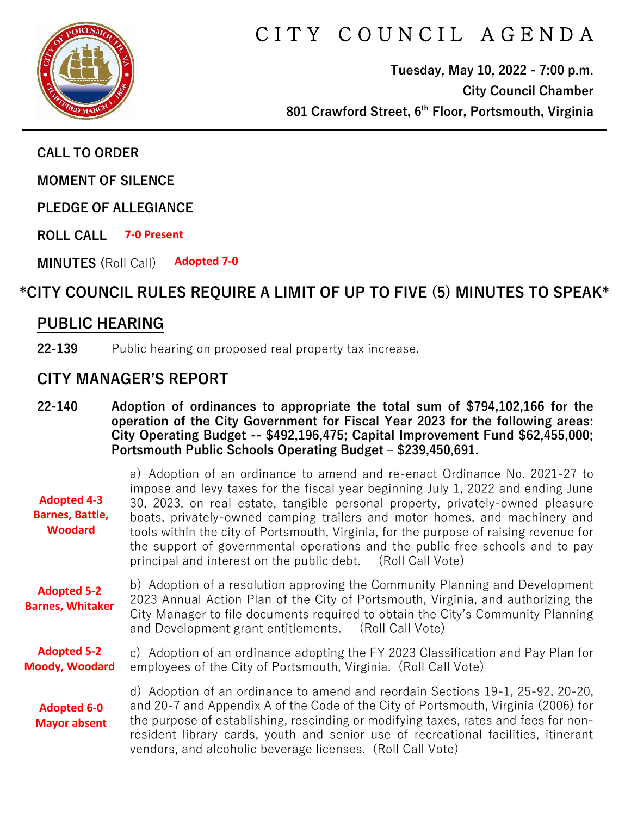

# CITY COUNCIL AGENDA

**Tuesday, May 10, 2022 - 7:00 p.m. City Council Chamber 801 Crawford Street, 6th Floor, Portsmouth, Virginia**

**CALL TO ORDER**

**MOMENT OF SILENCE**

**PLEDGE OF ALLEGIANCE** 

**ROLL CALL 7-0 Present**

**MINUTES (**Roll Call) **Adopted 7-0**

# **\*CITY COUNCIL RULES REQUIRE A LIMIT OF UP TO FIVE (5) MINUTES TO SPEAK\***

## **PUBLIC HEARING**

**22-139** Public hearing on proposed real property tax increase.

#### **CITY MANAGER'S REPORT**

**22-140 Adoption of ordinances to appropriate the total sum of \$794,102,166 for the operation of the City Government for Fiscal Year 2023 for the following areas: City Operating Budget -- \$492,196,475; Capital Improvement Fund \$62,455,000; Portsmouth Public Schools Operating Budget – \$239,450,691.**

| <b>Adopted 4-3</b><br><b>Barnes, Battle,</b><br><b>Woodard</b> | a) Adoption of an ordinance to amend and re-enact Ordinance No. 2021-27 to<br>impose and levy taxes for the fiscal year beginning July 1, 2022 and ending June<br>30, 2023, on real estate, tangible personal property, privately-owned pleasure<br>boats, privately-owned camping trailers and motor homes, and machinery and<br>tools within the city of Portsmouth, Virginia, for the purpose of raising revenue for<br>the support of governmental operations and the public free schools and to pay<br>principal and interest on the public debt. (Roll Call Vote) |
|----------------------------------------------------------------|-------------------------------------------------------------------------------------------------------------------------------------------------------------------------------------------------------------------------------------------------------------------------------------------------------------------------------------------------------------------------------------------------------------------------------------------------------------------------------------------------------------------------------------------------------------------------|
| <b>Adopted 5-2</b><br><b>Barnes, Whitaker</b>                  | b) Adoption of a resolution approving the Community Planning and Development<br>2023 Annual Action Plan of the City of Portsmouth, Virginia, and authorizing the<br>City Manager to file documents required to obtain the City's Community Planning<br>and Development grant entitlements. (Roll Call Vote)                                                                                                                                                                                                                                                             |
| <b>Adopted 5-2</b><br><b>Moody, Woodard</b>                    | c) Adoption of an ordinance adopting the FY 2023 Classification and Pay Plan for<br>employees of the City of Portsmouth, Virginia. (Roll Call Vote)                                                                                                                                                                                                                                                                                                                                                                                                                     |
| <b>Adopted 6-0</b><br><b>Mayor absent</b>                      | d) Adoption of an ordinance to amend and reordain Sections 19-1, 25-92, 20-20,<br>and 20-7 and Appendix A of the Code of the City of Portsmouth, Virginia (2006) for<br>the purpose of establishing, rescinding or modifying taxes, rates and fees for non-<br>resident library cards, youth and senior use of recreational facilities, itinerant<br>vendors, and alcoholic beverage licenses. (Roll Call Vote)                                                                                                                                                         |